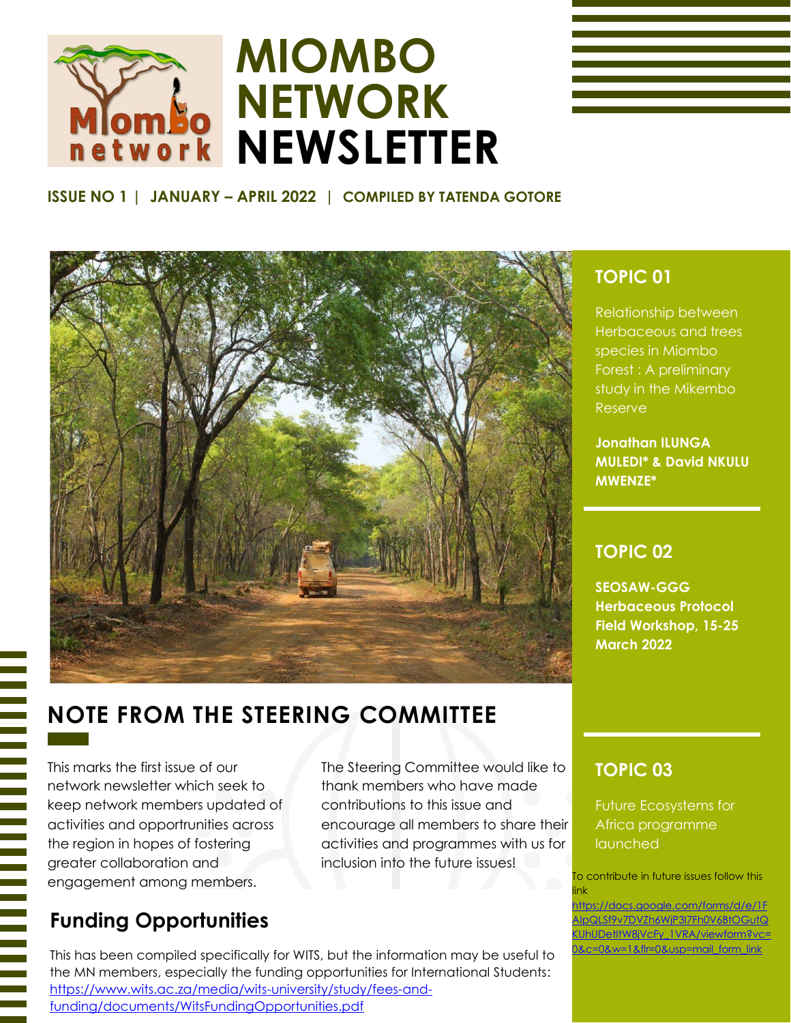

# **MIOMBO NETWORK NEWSLETTER**

### **ISSUE NO 1 | JANUARY – APRIL 2022 | COMPILED BY TATENDA GOTORE**



# **NOTE FROM THE STEERING COMMITTEE**

This marks the first issue of our network newsletter which seek to keep network members updated of activities and opportrunities across the region in hopes of fostering greater collaboration and engagement among members.

The Steering Committee would like to thank members who have made contributions to this issue and encourage all members to share their activities and programmes with us for inclusion into the future issues!

# **Funding Opportunities**

This has been compiled specifically for WITS, but the information may be useful to the MN members, especially the funding opportunities for International Students: [https://www.wits.ac.za/media/wits-university/study/fees-and](https://www.wits.ac.za/media/wits-university/study/fees-and-funding/documents/WitsFundingOpportunities.pdf)[funding/documents/WitsFundingOpportunities.pdf](https://www.wits.ac.za/media/wits-university/study/fees-and-funding/documents/WitsFundingOpportunities.pdf)

# **TOPIC 01**

Relationship between Herbaceous and trees species in Miombo Forest : A preliminary study in the Mikembo Reserve

**Jonathan ILUNGA MULEDI\* & David NKULU MWENZE\***

### **TOPIC 02**

**SEOSAW-GGG Herbaceous Protocol Field Workshop, 15-25 March 2022**

## **TOPIC 03**

Future Ecosystems for Africa programme launched

To contribute in future issues follow this link

https://docs.google.com/forms/d/e/1F AIpQLSf9v7DVZh6WjP3I7Fh0V6BtOGutQ KUhUDetItW8jVcFy\_1VRA/viewform?vc= 0&c=0&w=1&flr=0&usp=mail\_form\_link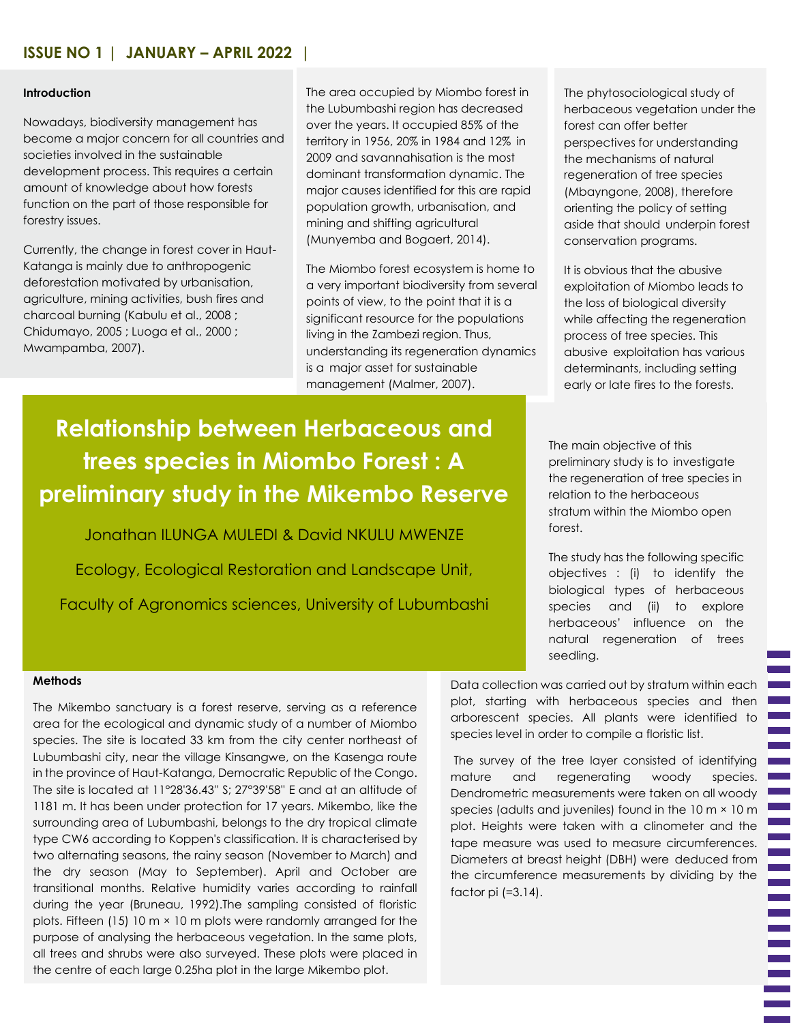#### **Introduction**

Nowadays, biodiversity management has become a major concern for all countries and societies involved in the sustainable development process. This requires a certain amount of knowledge about how forests function on the part of those responsible for forestry issues.

Currently, the change in forest cover in Haut-Katanga is mainly due to anthropogenic deforestation motivated by urbanisation, agriculture, mining activities, bush fires and charcoal burning (Kabulu et al., 2008 ; Chidumayo, 2005 ; Luoga et al., 2000 ; Mwampamba, 2007).

The area occupied by Miombo forest in the Lubumbashi region has decreased over the years. It occupied 85% of the territory in 1956, 20% in 1984 and 12% in 2009 and savannahisation is the most dominant transformation dynamic. The major causes identified for this are rapid population growth, urbanisation, and mining and shifting agricultural (Munyemba and Bogaert, 2014).

The Miombo forest ecosystem is home to a very important biodiversity from several points of view, to the point that it is a significant resource for the populations living in the Zambezi region. Thus, understanding its regeneration dynamics is a major asset for sustainable management (Malmer, 2007).

#### **Relationship between Herbaceous and trees species in Miombo Forest : A preliminary study in the Mikembo Reserve preliminary study in the Mikembo Reserve Relationship between Herbaceous and trees species in Miombo Forest : A**

**Jonathan ILUNGA MULEDI & David NKULU MWENZE** Jonathan ILUNGA MULEDI & David NKULU MWENZE

Ecology, Ecological Restoration and Landscape Unit, Ecology, Ecological Restoration and Landscape Unit,

Faculty of Agronomics sciences, University of Lubumbashi Faculty of Agronomics sciences, University of Lubumbashi

The phytosociological study of herbaceous vegetation under the forest can offer better perspectives for understanding the mechanisms of natural regeneration of tree species (Mbayngone, 2008), therefore orienting the policy of setting aside that should underpin forest conservation programs.

It is obvious that the abusive exploitation of Miombo leads to the loss of biological diversity while affecting the regeneration process of tree species. This abusive exploitation has various determinants, including setting early or late fires to the forests.

The main objective of this preliminary study is to investigate the regeneration of tree species in relation to the herbaceous stratum within the Miombo open forest.

The study has the following specific objectives : (i) to identify the biological types of herbaceous species and (ii) to explore herbaceous' influence on the natural regeneration of trees seedling.

#### **Methods**

The Mikembo sanctuary is a forest reserve, serving as a reference area for the ecological and dynamic study of a number of Miombo species. The site is located 33 km from the city center northeast of Lubumbashi city, near the village Kinsangwe, on the Kasenga route in the province of Haut-Katanga, Democratic Republic of the Congo. The site is located at 11°28'36.43'' S; 27°39'58'' E and at an altitude of 1181 m. It has been under protection for 17 years. Mikembo, like the surrounding area of Lubumbashi, belongs to the dry tropical climate type CW6 according to Koppen's classification. It is characterised by two alternating seasons, the rainy season (November to March) and the dry season (May to September). April and October are transitional months. Relative humidity varies according to rainfall during the year (Bruneau, 1992).The sampling consisted of floristic plots. Fifteen (15) 10 m × 10 m plots were randomly arranged for the purpose of analysing the herbaceous vegetation. In the same plots, all trees and shrubs were also surveyed. These plots were placed in the centre of each large 0.25ha plot in the large Mikembo plot.

Data collection was carried out by stratum within each plot, starting with herbaceous species and then arborescent species. All plants were identified to species level in order to compile a floristic list.

The survey of the tree layer consisted of identifying mature and regenerating woody species. Dendrometric measurements were taken on all woody species (adults and juveniles) found in the 10 m × 10 m plot. Heights were taken with a clinometer and the tape measure was used to measure circumferences. Diameters at breast height (DBH) were deduced from the circumference measurements by dividing by the factor pi (=3.14).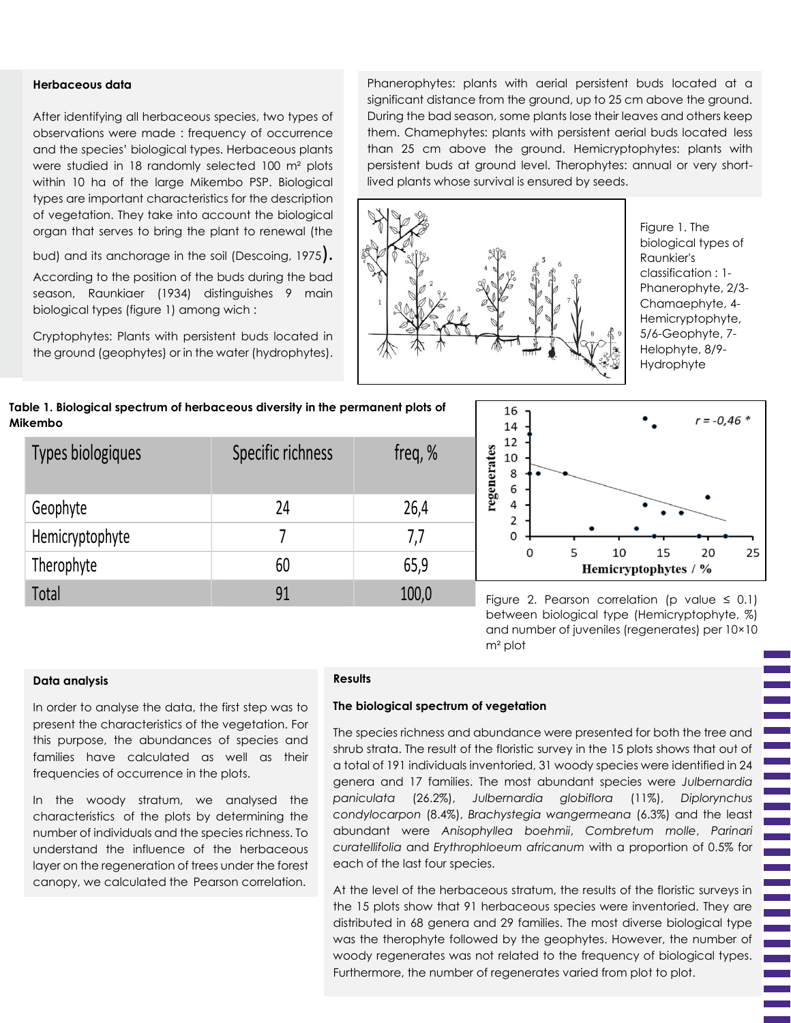#### **Herbaceous data**

After identifying all herbaceous species, two types of observations were made : frequency of occurrence and the species' biological types. Herbaceous plants were studied in 18 randomly selected 100 m² plots within 10 ha of the large Mikembo PSP. Biological types are important characteristics for the description of vegetation. They take into account the biological organ that serves to bring the plant to renewal (the

bud) and its anchorage in the soil (Descoing, 1975).

According to the position of the buds during the bad season, Raunkiaer (1934) distinguishes 9 main biological types (figure 1) among wich :

Cryptophytes: Plants with persistent buds located in the ground (geophytes) or in the water (hydrophytes).

Phanerophytes: plants with aerial persistent buds located at a significant distance from the ground, up to 25 cm above the ground. During the bad season, some plants lose their leaves and others keep them. Chamephytes: plants with persistent aerial buds located less than 25 cm above the ground. Hemicryptophytes: plants with persistent buds at ground level. Therophytes: annual or very shortlived plants whose survival is ensured by seeds.



Figure 1. The biological types of Raunkier's classification : 1- Phanerophyte, 2/3- Chamaephyte, 4- Hemicryptophyte, 5/6-Geophyte, 7- Helophyte, 8/9- Hydrophyte





Figure 2. Pearson correlation (p value  $\leq$  0.1) between biological type (Hemicryptophyte, %) and number of juveniles (regenerates) per 10×10 m² plot

#### **Data analysis**

In order to analyse the data, the first step was to present the characteristics of the vegetation. For this purpose, the abundances of species and families have calculated as well as their frequencies of occurrence in the plots.

In the woody stratum, we analysed the characteristics of the plots by determining the number of individuals and the species richness. To understand the influence of the herbaceous layer on the regeneration of trees under the forest canopy, we calculated the Pearson correlation.

#### **Results**

#### **The biological spectrum of vegetation**

The species richness and abundance were presented for both the tree and shrub strata. The result of the floristic survey in the 15 plots shows that out of a total of 191 individuals inventoried, 31 woody species were identified in 24 genera and 17 families. The most abundant species were *Julbernardia paniculata* (26.2%), *Julbernardia globiflora* (11%), *Diplorynchus condylocarpon* (8.4%), *Brachystegia wangermeana* (6.3%) and the least abundant were *Anisophyllea boehmii*, *Combretum molle*, *Parinari curatellifolia* and *Erythrophloeum africanum* with a proportion of 0.5% for each of the last four species.

At the level of the herbaceous stratum, the results of the floristic surveys in the 15 plots show that 91 herbaceous species were inventoried. They are distributed in 68 genera and 29 families. The most diverse biological type was the therophyte followed by the geophytes. However, the number of woody regenerates was not related to the frequency of biological types. Furthermore, the number of regenerates varied from plot to plot.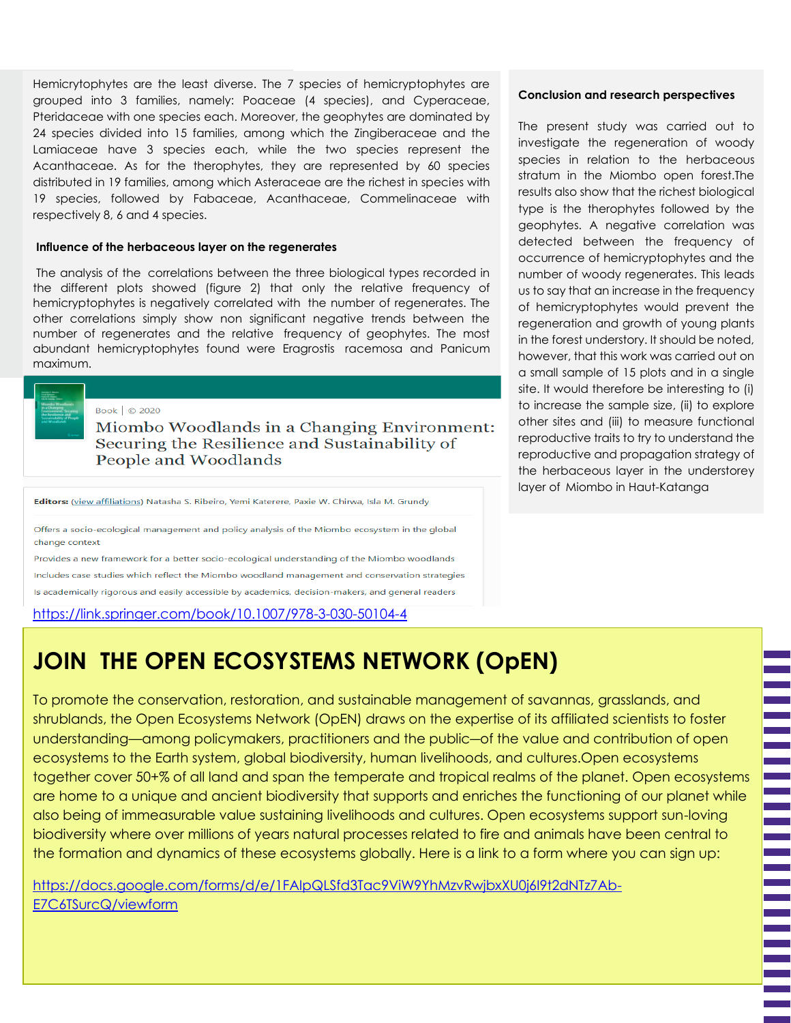Hemicrytophytes are the least diverse. The 7 species of hemicryptophytes are grouped into 3 families, namely: Poaceae (4 species), and Cyperaceae, Pteridaceae with one species each. Moreover, the geophytes are dominated by 24 species divided into 15 families, among which the Zingiberaceae and the Lamiaceae have 3 species each, while the two species represent the Acanthaceae. As for the therophytes, they are represented by 60 species distributed in 19 families, among which Asteraceae are the richest in species with 19 species, followed by Fabaceae, Acanthaceae, Commelinaceae with respectively 8, 6 and 4 species.

#### **Influence of the herbaceous layer on the regenerates**

The analysis of the correlations between the three biological types recorded in the different plots showed (figure 2) that only the relative frequency of hemicryptophytes is negatively correlated with the number of regenerates. The other correlations simply show non significant negative trends between the number of regenerates and the relative frequency of geophytes. The most abundant hemicryptophytes found were Eragrostis racemosa and Panicum maximum.



Miombo Woodlands in a Changing Environment: Securing the Resilience and Sustainability of<br>People and Woodlands

Editors: (view affiliations) Natasha S. Ribeiro, Yemi Katerere, Paxie W. Chirwa, Isla M. Grundy

Offers a socio-ecological management and policy analysis of the Miombo ecosystem in the global change context

Provides a new framework for a better socio-ecological understanding of the Miombo woodlands Includes case studies which reflect the Miombo woodland management and conservation strategies Is academically rigorous and easily accessible by academics, decision-makers, and general readers

<https://link.springer.com/book/10.1007/978-3-030-50104-4>

# **JOIN THE OPEN ECOSYSTEMS NETWORK (OpEN)**

To promote the conservation, restoration, and sustainable management of savannas, grasslands, and shrublands, the Open Ecosystems Network (OpEN) draws on the expertise of its affiliated scientists to foster understanding—among policymakers, practitioners and the public―of the value and contribution of open ecosystems to the Earth system, global biodiversity, human livelihoods, and cultures.Open ecosystems together cover 50+% of all land and span the temperate and tropical realms of the planet. Open ecosystems are home to a unique and ancient biodiversity that supports and enriches the functioning of our planet while also being of immeasurable value sustaining livelihoods and cultures. Open ecosystems support sun-loving biodiversity where over millions of years natural processes related to fire and animals have been central to the formation and dynamics of these ecosystems globally. Here is a link to a form where you can sign up:

[https://docs.google.com/forms/d/e/1FAIpQLSfd3Tac9ViW9YhMzvRwjbxXU0j6I9t2dNTz7Ab-](https://docs.google.com/forms/d/e/1FAIpQLSfd3Tac9ViW9YhMzvRwjbxXU0j6I9t2dNTz7Ab-E7C6TSurcQ/viewform)[E7C6TSurcQ/viewform](https://docs.google.com/forms/d/e/1FAIpQLSfd3Tac9ViW9YhMzvRwjbxXU0j6I9t2dNTz7Ab-E7C6TSurcQ/viewform)

#### **Conclusion and research perspectives**

The present study was carried out to investigate the regeneration of woody species in relation to the herbaceous stratum in the Miombo open forest.The results also show that the richest biological type is the therophytes followed by the geophytes. A negative correlation was detected between the frequency of occurrence of hemicryptophytes and the number of woody regenerates. This leads us to say that an increase in the frequency of hemicryptophytes would prevent the regeneration and growth of young plants in the forest understory. It should be noted, however, that this work was carried out on a small sample of 15 plots and in a single site. It would therefore be interesting to (i) to increase the sample size, (ii) to explore other sites and (iii) to measure functional reproductive traits to try to understand the reproductive and propagation strategy of the herbaceous layer in the understorey layer of Miombo in Haut-Katanga